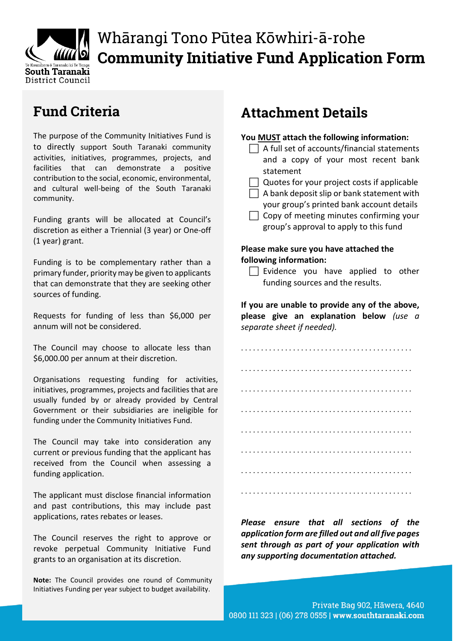

# Whārangi Tono Pūtea Kōwhiri-ā-rohe **Community Initiative Fund Application Form**

### **Fund Criteria**

The purpose of the Community Initiatives Fund is to directly support South Taranaki community activities, initiatives, programmes, projects, and facilities that can demonstrate a positive contribution to the social, economic, environmental, and cultural well-being of the South Taranaki community.

Funding grants will be allocated at Council's discretion as either a Triennial (3 year) or One-off (1 year) grant.

Funding is to be complementary rather than a primary funder, priority may be given to applicants that can demonstrate that they are seeking other sources of funding.

Requests for funding of less than \$6,000 per annum will not be considered.

The Council may choose to allocate less than \$6,000.00 per annum at their discretion.

Organisations requesting funding for activities, initiatives, programmes, projects and facilities that are usually funded by or already provided by Central Government or their subsidiaries are ineligible for funding under the Community Initiatives Fund.

The Council may take into consideration any current or previous funding that the applicant has received from the Council when assessing a funding application.

The applicant must disclose financial information and past contributions, this may include past applications, rates rebates or leases.

The Council reserves the right to approve or revoke perpetual Community Initiative Fund grants to an organisation at its discretion.

**Note:** The Council provides one round of Community Initiatives Funding per year subject to budget availability.

### **Attachment Details**

| You MUST attach the following information:<br>$\Box$ A full set of accounts/financial statements                                                                                                                                   |
|------------------------------------------------------------------------------------------------------------------------------------------------------------------------------------------------------------------------------------|
| and a copy of your most recent bank<br>statement                                                                                                                                                                                   |
| Quotes for your project costs if applicable<br>A bank deposit slip or bank statement with<br>your group's printed bank account details<br>$\Box$ Copy of meeting minutes confirming your<br>group's approval to apply to this fund |
| Please make sure you have attached the                                                                                                                                                                                             |

## **following information:**

 $\Box$  Evidence you have applied to other funding sources and the results.

**If you are unable to provide any of the above, please give an explanation below** *(use a separate sheet if needed).*



*Please ensure that all sections of the application form are filled out and all five pages sent through as part of your application with any supporting documentation attached.*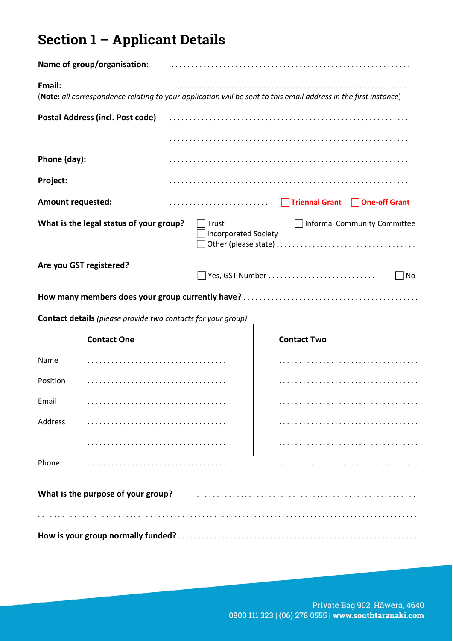## **Section 1 – Applicant Details**

|                          | Name of group/organisation:                                                                                      |                                      |                                |                              |
|--------------------------|------------------------------------------------------------------------------------------------------------------|--------------------------------------|--------------------------------|------------------------------|
| Email:                   | (Note: all correspondence relating to your application will be sent to this email address in the first instance) |                                      |                                |                              |
|                          | Postal Address (incl. Post code)                                                                                 |                                      |                                |                              |
|                          |                                                                                                                  |                                      |                                |                              |
| Phone (day):             |                                                                                                                  |                                      |                                |                              |
| Project:                 |                                                                                                                  |                                      |                                |                              |
| <b>Amount requested:</b> |                                                                                                                  |                                      | Triennal Grant   One-off Grant |                              |
|                          | What is the legal status of your group?                                                                          | Trust<br><b>Incorporated Society</b> |                                | Informal Community Committee |
|                          | Are you GST registered?                                                                                          |                                      |                                | No                           |
|                          |                                                                                                                  |                                      |                                |                              |
|                          | <b>Contact details</b> (please provide two contacts for your group)                                              |                                      |                                |                              |
|                          | <b>Contact One</b>                                                                                               |                                      | <b>Contact Two</b>             |                              |
| Name                     |                                                                                                                  |                                      |                                |                              |
| Position                 |                                                                                                                  |                                      |                                |                              |
| Email                    |                                                                                                                  |                                      |                                |                              |
| <b>Address</b>           |                                                                                                                  |                                      |                                |                              |
|                          |                                                                                                                  |                                      |                                |                              |
| Phone                    |                                                                                                                  |                                      |                                |                              |
|                          | What is the purpose of your group?                                                                               |                                      |                                |                              |
|                          |                                                                                                                  |                                      |                                |                              |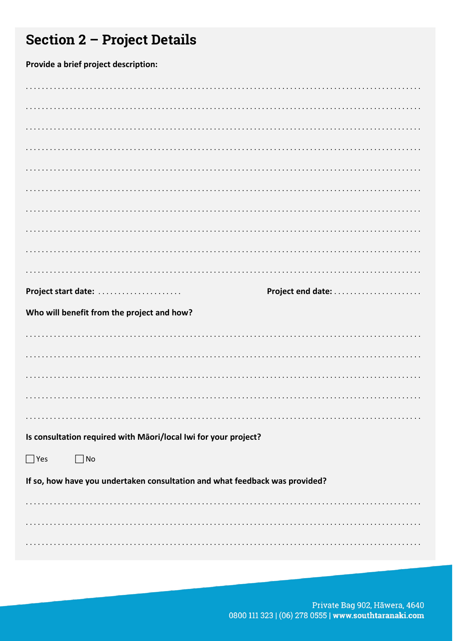## **Section 2 - Project Details**

Provide a brief project description:

| Project start date:                                                         |
|-----------------------------------------------------------------------------|
| Who will benefit from the project and how?                                  |
|                                                                             |
|                                                                             |
|                                                                             |
|                                                                             |
|                                                                             |
|                                                                             |
| Is consultation required with Māori/local Iwi for your project?             |
| $\Box$ Yes<br>$\Box$ No                                                     |
| If so, how have you undertaken consultation and what feedback was provided? |
|                                                                             |
|                                                                             |

Private Bag 902, Hāwera, 4640 0800 111 323 | (06) 278 0555 | www.southtaranaki.com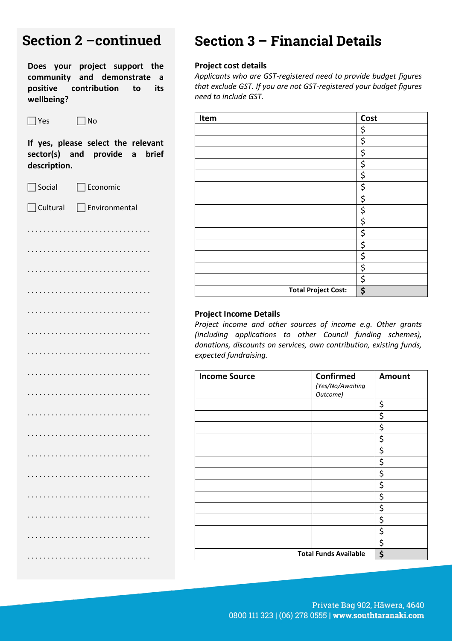| Section 2 – continued                                                                                      |
|------------------------------------------------------------------------------------------------------------|
| Does your project support the<br>community and demonstrate a<br>positive contribution to its<br>wellbeing? |
| Yes<br>No                                                                                                  |
| If yes, please select the relevant<br>sector(s) and provide a brief<br>description.                        |
| Social<br>Economic                                                                                         |

## Cultural Environmental . . . . . . . . . . . . . . . . . . . . . . . . . . . . . . . . . . . . . . . . . . . . . . . . . . . . . . . . . . . . . . . . . . . . . . . . . . . . . . . . . . . . . . . . . . . . . . . . . . . . . . . . . . . . . . . . . . . . . . . . . . . . . . . . . . . . . . . . . . . . . . . . . . . . . . . . . . . . . . . . . . . . . . . . . . . . . . . . . . . . . . . . . . . . . . . . . . . . . . . . . . . . . . . . . . . . . . . . . . . . . . . . . . . . . . . . . . . . . . . . . . . . . . . . . . . . . . . . . . . . . . . . . . . . . . . . . . . . . . . . . . . . . . . . . . . . . . . . . . . . . . . . . . . . . . . . . . . . . . . . . . . . . . . . . . . . . . . . . . . . . . . . . . . . . . . . . . . . . . . . . . . . . . . . . . . . . . . . . . . . . . . . . . . . . . . . . . . . . . . . . . . . . . . . . . . . . . . . . . . . . . . . . . . . . . . . . . . . . . . . . . . . . . . . . . . . . . . . . . . . . . . . . . . . . . . . . . . . . . . . . . . . . . . . . . . . . . . . . . . . . . . . . . . . . . . . . . . . . . . . . . . . . . .

### **Section 3 – Financial Details**

#### **Project cost details**

*Applicants who are GST-registered need to provide budget figures that exclude GST. If you are not GST-registered your budget figures need to include GST.*

| Item |                            | Cost |
|------|----------------------------|------|
|      |                            | \$   |
|      |                            | \$   |
|      |                            | \$   |
|      |                            | \$   |
|      |                            | \$   |
|      |                            | \$   |
|      |                            | \$   |
|      |                            | \$   |
|      |                            | \$   |
|      |                            | \$   |
|      |                            | \$   |
|      |                            | \$   |
|      |                            | \$   |
|      |                            | \$   |
|      | <b>Total Project Cost:</b> | \$   |

#### **Project Income Details**

*Project income and other sources of income e.g. Other grants (including applications to other Council funding schemes), donations, discounts on services, own contribution, existing funds, expected fundraising.* 

| <b>Income Source</b>         | <b>Confirmed</b><br>(Yes/No/Awaiting<br>Outcome) | <b>Amount</b> |
|------------------------------|--------------------------------------------------|---------------|
|                              |                                                  | \$            |
|                              |                                                  | \$            |
|                              |                                                  | \$            |
|                              |                                                  | \$            |
|                              |                                                  | \$            |
|                              |                                                  | \$            |
|                              |                                                  | \$            |
|                              |                                                  | \$            |
|                              |                                                  | \$            |
|                              |                                                  | \$            |
|                              |                                                  | \$            |
|                              |                                                  | \$            |
|                              |                                                  | \$            |
| <b>Total Funds Available</b> | \$                                               |               |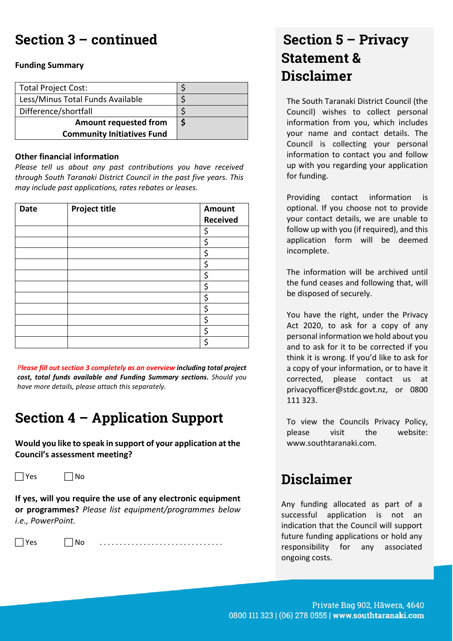### **Section 3 – continued**

#### **Funding Summary**

| <b>Total Project Cost:</b>        |  |
|-----------------------------------|--|
| Less/Minus Total Funds Available  |  |
| Difference/shortfall              |  |
| <b>Amount requested from</b>      |  |
| <b>Community Initiatives Fund</b> |  |

#### **Other financial information**

*Please tell us about any past contributions you have received through South Taranaki District Council in the past five years. This may include past applications, rates rebates or leases.*

| <b>Date</b> | <b>Project title</b> | Amount<br><b>Received</b> |
|-------------|----------------------|---------------------------|
|             |                      | \$                        |
|             |                      | \$                        |
|             |                      | \$                        |
|             |                      | \$                        |
|             |                      | \$                        |
|             |                      | \$                        |
|             |                      | \$                        |
|             |                      | \$                        |
|             |                      | \$                        |
|             |                      | \$                        |
|             |                      | \$                        |

*Please fill out section 3 completely as an overview including total project cost, total funds available and Funding Summary sections. Should you have more details, please attach this separately.*

### **Section 4 – Application Support**

**Would you like to speak in support of your application at the Council's assessment meeting?**

 $\Box$  Yes  $\Box$  No

**If yes, will you require the use of any electronic equipment or programmes?** *Please list equipment/programmes below i.e., PowerPoint.*

Yes No . . . . . . . . . . . . . . . . . . . . . . . . . . . . . . .

### **Section 5 – Privacy Statement & Disclaimer**

The South Taranaki District Council (the Council) wishes to collect personal information from you, which includes your name and contact details. The Council is collecting your personal information to contact you and follow up with you regarding your application for funding.

Providing contact information is optional. If you choose not to provide your contact details, we are unable to follow up with you (if required), and this application form will be deemed incomplete.

The information will be archived until the fund ceases and following that, will be disposed of securely.

You have the right, under the Privacy Act 2020, to ask for a copy of any personal information we hold about you and to ask for it to be corrected if you think it is wrong. If you'd like to ask for a copy of your information, or to have it corrected, please contact us at [privacyofficer@stdc.govt.nz,](mailto:privacyofficer@stdc.govt.nz) or 0800 111 323.

To view the Councils Privacy Policy, please visit the website: [www.southtaranaki.com.](http://www.southtaranaki.com/)

### **Disclaimer**

Any funding allocated as part of a successful application is not an indication that the Council will support future funding applications or hold any responsibility for any associated ongoing costs.

Private Bag 902, Hāwera, 4640 0800 111 323 | (06) 278 0555 | www.southtaranaki.com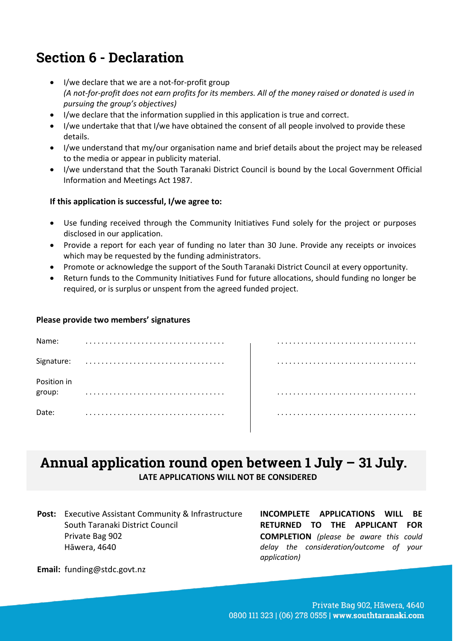### **Section 6 - Declaration**

- I/we declare that we are a not-for-profit group *(A not-for-profit does not earn profits for its members. All of the money raised or donated is used in pursuing the group's objectives)*
- I/we declare that the information supplied in this application is true and correct.
- I/we undertake that that I/we have obtained the consent of all people involved to provide these details.
- I/we understand that my/our organisation name and brief details about the project may be released to the media or appear in publicity material.
- I/we understand that the South Taranaki District Council is bound by the Local Government Official Information and Meetings Act 1987.

#### **If this application is successful, I/we agree to:**

- Use funding received through the Community Initiatives Fund solely for the project or purposes disclosed in our application.
- Provide a report for each year of funding no later than 30 June. Provide any receipts or invoices which may be requested by the funding administrators.
- Promote or acknowledge the support of the South Taranaki District Council at every opportunity.
- Return funds to the Community Initiatives Fund for future allocations, should funding no longer be required, or is surplus or unspent from the agreed funded project.

#### **Please provide two members' signatures**

| Name:                 |  |
|-----------------------|--|
| Signature:            |  |
| Position in<br>group: |  |
| Date:                 |  |

### **Annual application round open between 1 July – 31 July. LATE APPLICATIONS WILL NOT BE CONSIDERED**

**Post:** Executive Assistant Community & Infrastructure South Taranaki District Council Private Bag 902 Hāwera, 4640

**INCOMPLETE APPLICATIONS WILL BE RETURNED TO THE APPLICANT FOR COMPLETION** *(please be aware this could delay the consideration/outcome of your application)*

**Email:** funding@stdc.govt.nz